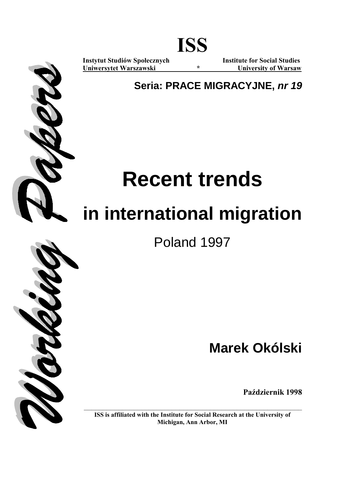

**Uniwersytet Warszawski \* University of Warsaw**

**Instytut Studiów Społecznych Institute for Social Studies** 

**Seria: PRACE MIGRACYJNE,** *nr 19*

# **Recent trends**

# **in international migration**

Poland 1997

**Marek Okólski** 

**Październik 1998** 

**ISS is affiliated with the Institute for Social Research at the University of Michigan, Ann Arbor, MI**

**\_\_\_\_\_\_\_\_\_\_\_\_\_\_\_\_\_\_\_\_\_\_\_\_\_\_\_\_\_\_\_\_\_\_\_\_\_\_\_\_\_\_\_\_\_\_\_\_\_\_\_\_\_\_\_\_\_**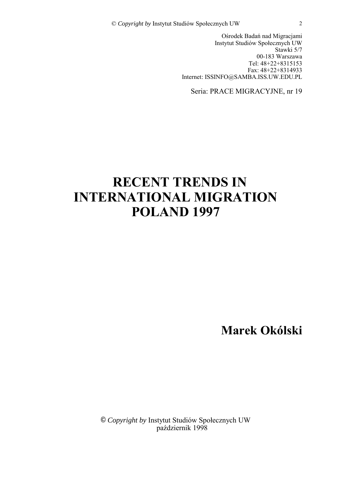Ośrodek Badań nad Migracjami Instytut Studiów Społecznych UW Stawki 5/7 00-183 Warszawa Tel: 48+22+8315153 Fax: 48+22+8314933 Internet: ISSINFO@SAMBA.ISS.UW.EDU.PL

Seria: PRACE MIGRACYJNE, nr 19

# **RECENT TRENDS IN INTERNATIONAL MIGRATION POLAND 1997**

**Marek OkÛlski** 

© *Copyright by* Instytut Studiów Społecznych UW październik 1998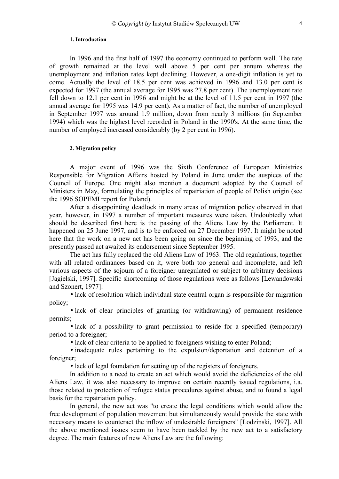#### **1. Introduction**

<span id="page-3-0"></span>In 1996 and the first half of 1997 the economy continued to perform well. The rate of growth remained at the level well above 5 per cent per annum whereas the unemployment and inflation rates kept declining. However, a one-digit inflation is yet to come. Actually the level of 18.5 per cent was achieved in 1996 and 13.0 per cent is expected for 1997 (the annual average for 1995 was 27.8 per cent). The unemployment rate fell down to 12.1 per cent in 1996 and might be at the level of 11.5 per cent in 1997 (the annual average for 1995 was 14.9 per cent). As a matter of fact, the number of unemployed in September 1997 was around 1.9 million, down from nearly 3 millions (in September 1994) which was the highest level recorded in Poland in the 1990's. At the same time, the number of employed increased considerably (by 2 per cent in 1996).

#### **2. Migration policy**

A major event of 1996 was the Sixth Conference of European Ministries Responsible for Migration Affairs hosted by Poland in June under the auspices of the Council of Europe. One might also mention a document adopted by the Council of Ministers in May, formulating the principles of repatriation of people of Polish origin (see the 1996 SOPEMI report for Poland).

After a disappointing deadlock in many areas of migration policy observed in that year, however, in 1997 a number of important measures were taken. Undoubtedly what should be described first here is the passing of the Aliens Law by the Parliament. It happened on 25 June 1997, and is to be enforced on 27 December 1997. It might be noted here that the work on a new act has been going on since the beginning of 1993, and the presently passed act awaited its endorsement since September 1995.

The act has fully replaced the old Aliens Law of 1963. The old regulations, together with all related ordinances based on it, were both too general and incomplete, and left various aspects of the sojourn of a foreigner unregulated or subject to arbitrary decisions [Jagielski, 1997]. Specific shortcoming of those regulations were as follows [Lewandowski and Szonert, 1977]:

• lack of resolution which individual state central organ is responsible for migration policy;

• lack of clear principles of granting (or withdrawing) of permanent residence permits;

• lack of a possibility to grant permission to reside for a specified (temporary) period to a foreigner;

• lack of clear criteria to be applied to foreigners wishing to enter Poland;

• inadequate rules pertaining to the expulsion/deportation and detention of a foreigner;

• lack of legal foundation for setting up of the registers of foreigners.

In addition to a need to create an act which would avoid the deficiencies of the old Aliens Law, it was also necessary to improve on certain recently issued regulations, i.a. those related to protection of refugee status procedures against abuse, and to found a legal basis for the repatriation policy.

In general, the new act was "to create the legal conditions which would allow the free development of population movement but simultaneously would provide the state with necessary means to counteract the inflow of undesirable foreigners" [Lodzinski, 1997]. All the above mentioned issues seem to have been tackled by the new act to a satisfactory degree. The main features of new Aliens Law are the following: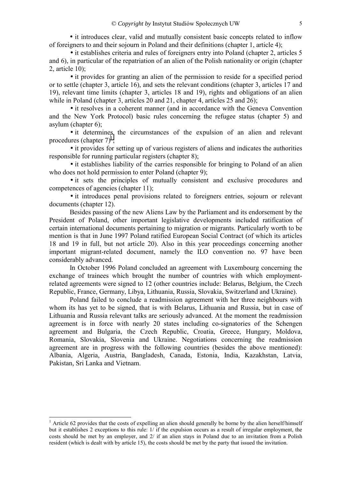• it introduces clear, valid and mutually consistent basic concepts related to inflow of foreigners to and their sojourn in Poland and their definitions (chapter 1, article 4);

• it establishes criteria and rules of foreigners entry into Poland (chapter 2, articles 5 and 6), in particular of the repatriation of an alien of the Polish nationality or origin (chapter 2, article 10);

• it provides for granting an alien of the permission to reside for a specified period or to settle (chapter 3, article 16), and sets the relevant conditions (chapter 3, articles 17 and 19), relevant time limits (chapter 3, articles 18 and 19), rights and obligations of an alien while in Poland (chapter 3, articles 20 and 21, chapter 4, articles 25 and 26);

• it resolves in a coherent manner (and in accordance with the Geneva Convention and the New York Protocol) basic rules concerning the refugee status (chapter 5) and asylum (chapter 6);

• it determines the circumstances of the expulsion of an alien and relevant procedures (chapter  $7)^1$ ;

• it provides for setting up of various registers of aliens and indicates the authorities responsible for running particular registers (chapter 8);

• it establishes liability of the carries responsible for bringing to Poland of an alien who does not hold permission to enter Poland (chapter 9);

• it sets the principles of mutually consistent and exclusive procedures and competences of agencies (chapter 11);

• it introduces penal provisions related to foreigners entries, sojourn or relevant documents (chapter 12).

Besides passing of the new Aliens Law by the Parliament and its endorsement by the President of Poland, other important legislative developments included ratification of certain international documents pertaining to migration or migrants. Particularly worth to be mention is that in June 1997 Poland ratified European Social Contract (of which its articles 18 and 19 in full, but not article 20). Also in this year proceedings concerning another important migrant-related document, namely the ILO convention no. 97 have been considerably advanced.

In October 1996 Poland concluded an agreement with Luxembourg concerning the exchange of trainees which brought the number of countries with which employmentrelated agreements were signed to 12 (other countries include: Belarus, Belgium, the Czech Republic, France, Germany, Libya, Lithuania, Russia, Slovakia, Switzerland and Ukraine).

Poland failed to conclude a readmission agreement with her three neighbours with whom its has yet to be signed, that is with Belarus, Lithuania and Russia, but in case of Lithuania and Russia relevant talks are seriously advanced. At the moment the readmission agreement is in force with nearly 20 states including co-signatories of the Schengen agreement and Bulgaria, the Czech Republic, Croatia, Greece, Hungary, Moldova, Romania, Slovakia, Slovenia and Ukraine. Negotiations concerning the readmission agreement are in progress with the following countries (besides the above mentioned): Albania, Algeria, Austria, Bangladesh, Canada, Estonia, India, Kazakhstan, Latvia, Pakistan, Sri Lanka and Vietnam.

<sup>&</sup>lt;sup>1</sup> Article 62 provides that the costs of expelling an alien should generally be borne by the alien herself/himself but it establishes 2 exceptions to this rule: 1/ if the expulsion occurs as a result of irregular employment, the costs should be met by an employer, and 2/ if an alien stays in Poland due to an invitation from a Polish resident (which is dealt with by article 15), the costs should be met by the party that issued the invitation.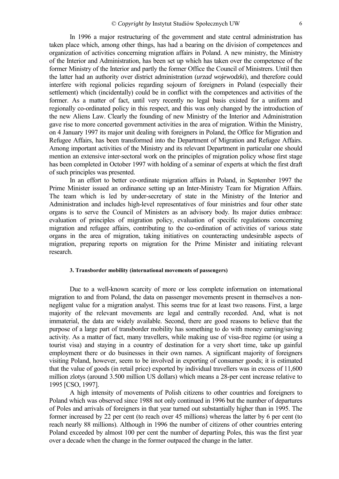<span id="page-5-0"></span>In 1996 a major restructuring of the government and state central administration has taken place which, among other things, has had a bearing on the division of competences and organization of activities concerning migration affairs in Poland. A new ministry, the Ministry of the Interior and Administration, has been set up which has taken over the competence of the former Ministry of the Interior and partly the former Office the Council of Ministrers. Until then the latter had an authority over district administration (*urzad wojewodzki*), and therefore could interfere with regional policies regarding sojourn of foreigners in Poland (especially their settlement) which (incidentally) could be in conflict with the competences and activities of the former. As a matter of fact, until very recently no legal basis existed for a uniform and regionally co-ordinated policy in this respect, and this was only changed by the introduction of the new Aliens Law. Clearly the founding of new Ministry of the Interior and Administration gave rise to more concerted government activities in the area of migration. Within the Ministry, on 4 January 1997 its major unit dealing with foreigners in Poland, the Office for Migration and Refugee Affairs, has been transformed into the Department of Migration and Refugee Affairs. Among important activities of the Ministry and its relevant Department in particular one should mention an extensive inter-sectoral work on the principles of migration policy whose first stage has been completed in October 1997 with holding of a seminar of experts at which the first draft of such principles was presented.

In an effort to better co-ordinate migration affairs in Poland, in September 1997 the Prime Minister issued an ordinance setting up an Inter-Ministry Team for Migration Affairs. The team which is led by under-secretary of state in the Ministry of the Interior and Administration and includes high-level representatives of four ministries and four other state organs is to serve the Council of Ministers as an advisory body. Its major duties embrace: evaluation of principles of migration policy, evaluation of specific regulations concerning migration and refugee affairs, contributing to the co-ordination of activities of various state organs in the area of migration, taking initiatives on counteracting undesirable aspects of migration, preparing reports on migration for the Prime Minister and initiating relevant research.

# **3. Transborder mobility (international movements of passengers)**

Due to a well-known scarcity of more or less complete information on international migration to and from Poland, the data on passenger movements present in themselves a nonnegligent value for a migration analyst. This seems true for at least two reasons. First, a large majority of the relevant movements are legal and centrally recorded. And, what is not immaterial, the data are widely available. Second, there are good reasons to believe that the purpose of a large part of transborder mobility has something to do with money earning/saving activity. As a matter of fact, many travellers, while making use of visa-free regime (or using a tourist visa) and staying in a country of destination for a very short time, take up gainful employment there or do businesses in their own names. A significant majority of foreigners visiting Poland, however, seem to be involved in exporting of consumer goods; it is estimated that the value of goods (in retail price) exported by individual travellers was in excess of 11,600 million zlotys (around 3.500 million US dollars) which means a 28-per cent increase relative to 1995 [CSO, 1997].

A high intensity of movements of Polish citizens to other countries and foreigners to Poland which was observed since 1988 not only continued in 1996 but the number of departures of Poles and arrivals of foreigners in that year turned out substantially higher than in 1995. The former increased by 22 per cent (to reach over 45 millions) whereas the latter by 6 per cent (to reach nearly 88 millions). Although in 1996 the number of citizens of other countries entering Poland exceeded by almost 100 per cent the number of departing Poles, this was the first year over a decade when the change in the former outpaced the change in the latter.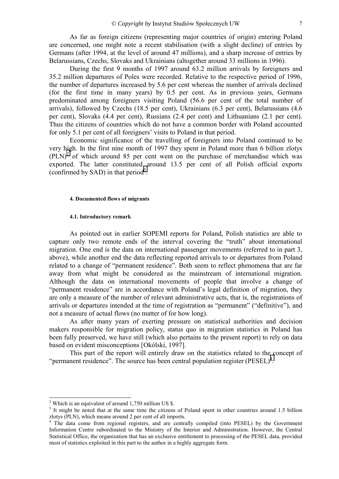<span id="page-6-0"></span>As far as foreign citizens (representing major countries of origin) entering Poland are concerned, one might note a recent stabilisation (with a slight decline) of entries by Germans (after 1994, at the level of around 47 millions), and a sharp increase of entries by Belarussians, Czechs, Slovaks and Ukrainians (altogether around 33 millions in 1996).

During the first 9 months of 1997 around 63.2 million arrivals by foreigners and 35.2 million departures of Poles were recorded. Relative to the respective period of 1996, the number of departures increased by 5.6 per cent whereas the number of arrivals declined (for the first time in many years) by 0.5 per cent. As in previous years, Germans predominated among foreigners visiting Poland (56.6 per cent of the total number of arrivals), followed by Czechs (18.5 per cent), Ukrainians (6.3 per cent), Belarussians (4.6 per cent), Slovaks (4.4 per cent), Russians (2.4 per cent) and Lithuanians (2.1 per cent). Thus the citizens of countries which do not have a common border with Poland accounted for only 5.1 per cent of all foreigners' visits to Poland in that period.

Economic significance of the travelling of foreigners into Poland continued to be very high. In the first nine month of 1997 they spent in Poland more than 6 billion zlotys  $(PLN)<sup>2</sup>$  of which around 85 per cent went on the purchase of merchandise which was exported. The latter constituted around 13.5 per cent of all Polish official exports (confirmed by SAD) in that period<sup>3</sup>.

#### **4. Documented flows of migrants**

#### **4.1. Introductory remark**

As pointed out in earlier SOPEMI reports for Poland, Polish statistics are able to capture only two remote ends of the interval covering the "truth" about international migration. One end is the data on international passenger movements (referred to in part 3, above), while another end the data reflecting reported arrivals to or departures from Poland related to a change of "permanent residence". Both seem to reflect phenomena that are far away from what might be considered as the mainstream of international migration. Although the data on international movements of people that involve a change of "permanent residence" are in accordance with Poland's legal definition of migration, they are only a measure of the number of relevant administrative acts, that is, the registrations of arrivals or departures intended at the time of registration as "permanent" ("definitive"), and not a measure of actual flows (no matter of for how long).

As after many years of exerting pressure on statistical authorities and decision makers responsible for migration policy, status quo in migration statistics in Poland has been fully preserved, we have still (which also pertains to the present report) to rely on data based on evident misconceptions [Okólski, 1997].

This part of the report will entirely draw on the statistics related to the concept of "permanent residence". The source has been central population register  $(PESEL)^4$ .

<sup>&</sup>lt;sup>2</sup> Which is an equivalent of around 1,750 million US \$.

<sup>&</sup>lt;sup>3</sup> It might be noted that at the same time the citizens of Poland spent in other countries around 1.5 billion zlotys (PLN), which means around 2 per cent of all imports.

<sup>&</sup>lt;sup>4</sup> The data come from regional registers, and are centrally compiled (into PESEL) by the Government Information Centre subordinated to the Ministry of the Interior and Administration. However, the Central Statistical Office, the organization that has an exclusive entitlement to processing of the PESEL data, provided most of statistics exploited in this part to the author in a highly aggregate form.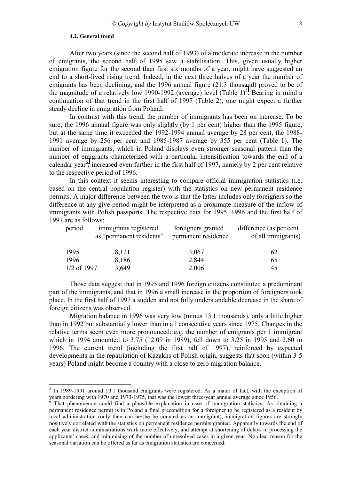### **4.2. General trend**

<span id="page-7-0"></span>After two years (since the second half of 1993) of a moderate increase in the number of emigrants, the second half of 1995 saw a stabilisation. This, given usually higher emigration figure for the second than first six months of a year, might have suggested an end to a short-lived rising trend. Indeed, in the next three halves of a year the number of emigrants has been declining, and the 1996 annual figure (21.3 thousand) proved to be of the magnitude of a relatively low 1990-1992 (average) level (Table 1)<sup>5</sup>. Bearing in mind a continuation of that trend in the first half of 1997 (Table 2), one might expect a further steady decline in emigration from Poland.

In contrast with this trend, the number of immigrants has been on increase. To be sure, the 1996 annual figure was only slightly (by 1 per cent) higher than the 1995 figure, but at the same time it exceeded the 1992-1994 annual average by 28 per cent, the 1988- 1991 average by 256 per cent and 1985-1987 average by 355 per cent (Table 1). The number of immigrants, which in Poland displays even stronger seasonal pattern than the number of emigrants characterized with a particular intensification towards the end of a calendar year<sup>6</sup>, increased even further in the first half of 1997, namely by 2 per cent relative to the respective period of 1996.

In this context it seems interesting to compare official immigration statistics (i.e. based on the central population register) with the statistics on new permanent residence permits. A major difference between the two is that the latter includes only foreigners so the difference at any give period might be interpreted as a proximate measure of the inflow of immigrants with Polish passports. The respective data for 1995, 1996 and the first half of 1997 are as follows:

| period        | immigrants registered<br>as "permanent residents" | foreigners granted<br>permanent residence | difference (as per cent<br>of all immigrants) |
|---------------|---------------------------------------------------|-------------------------------------------|-----------------------------------------------|
| 1995          | 8,121                                             | 3,067                                     | 62                                            |
| 1996          | 8,186                                             | 2,844                                     | 65                                            |
| $1/2$ of 1997 | 3,649                                             | 2,006                                     | 45                                            |

Those data suggest that in 1995 and 1996 foreign citizens constituted a predominant part of the immigrants, and that in 1996 a small increase in the proportion of foreigners took place. In the first half of 1997 a sudden and not fully understandable decrease in the share of foreign citizens was observed.

Migration balance in 1996 was very low (minus 13.1 thousands), only a little higher than in 1992 but substantially lower than in all consecutive years since 1975. Changes in the relative terms seem even more pronounced: e.g. the number of emigrants per 1 immigrant which in 1994 amounted to 3.75 (12.09 in 1989), fell down to 3.25 in 1995 and 2.60 in 1996. The current trend (including the first half of 1997), reinforced by expected developments in the repatriation of Kazakhs of Polish origin, suggests that soon (within 3-5 years) Poland might become a country with a close to zero migration balance.

<sup>&</sup>lt;sup>5</sup> In 1989-1991 around 19.1 thousand emigrants were registered. As a mater of fact, with the exception of years bordering with 1970 and 1973-1975, that was the lowest three-year annual average since 1956.

That phenomenon could find a plausible explanation in case of immigration statistics. As obtaining a permanent residence permit is in Poland a final precondition for a foreigner to be registered as a resident by local administration (only then can he/she be counted as an immigrant), immigration figures are strongly positively correlated with the statistics on permanent residence permits granted. Apparently towards the end of each year district administrations work more effectively, and attempt at shortening of delays in processing the applicants' cases, and minimising of the number of unresolved cases in a given year. No clear reason for the seasonal variation can be offered as far as emigration statistics are concerned.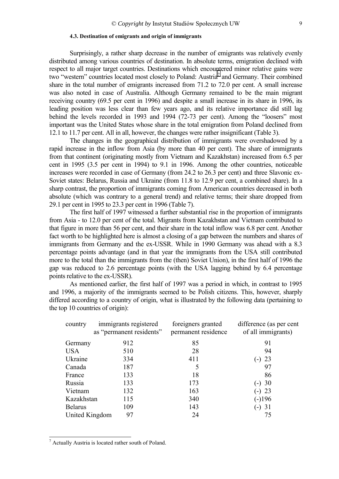# **4.3. Destination of emigrants and origin of immigrants**

<span id="page-8-0"></span>Surprisingly, a rather sharp decrease in the number of emigrants was relatively evenly distributed among various countries of destination. In absolute terms, emigration declined with respect to all major target countries. Destinations which encountered minor relative gains were two "western" countries located most closely to Poland: Austria<sup>7</sup> and Germany. Their combined share in the total number of emigrants increased from 71.2 to 72.0 per cent. A small increase was also noted in case of Australia. Although Germany remained to be the main migrant receiving country (69.5 per cent in 1996) and despite a small increase in its share in 1996, its leading position was less clear than few years ago, and its relative importance did still lag behind the levels recorded in 1993 and 1994 ( $72-73$  per cent). Among the "loosers" most important was the United States whose share in the total emigration from Poland declined from 12.1 to 11.7 per cent. All in all, however, the changes were rather insignificant (Table 3).

The changes in the geographical distribution of immigrants were overshadowed by a rapid increase in the inflow from Asia (by more than 40 per cent). The share of immigrants from that continent (originating mostly from Vietnam and Kazakhstan) increased from 6.5 per cent in 1995 (3.5 per cent in 1994) to 9.1 in 1996. Among the other countries, noticeable increases were recorded in case of Germany (from 24.2 to 26.3 per cent) and three Slavonic ex-Soviet states: Belarus, Russia and Ukraine (from 11.8 to 12.9 per cent, a combined share). In a sharp contrast, the proportion of immigrants coming from American countries decreased in both absolute (which was contrary to a general trend) and relative terms; their share dropped from 29.1 per cent in 1995 to 23.3 per cent in 1996 (Table 7).

The first half of 1997 witnessed a further substantial rise in the proportion of immigrants from Asia - to 12.0 per cent of the total. Migrants from Kazakhstan and Vietnam contributed to that figure in more than 56 per cent, and their share in the total inflow was 6.8 per cent. Another fact worth to be highlighted here is almost a closing of a gap between the numbers and shares of immigrants from Germany and the ex-USSR. While in 1990 Germany was ahead with a 8.3 percentage points advantage (and in that year the immigrants from the USA still contributed more to the total than the immigrants from the (then) Soviet Union), in the first half of 1996 the gap was reduced to 2.6 percentage points (with the USA lagging behind by 6.4 percentage points relative to the ex-USSR).

As mentioned earlier, the first half of 1997 was a period in which, in contrast to 1995 and 1996, a majority of the immigrants seemed to be Polish citizens. This, however, sharply differed according to a country of origin, what is illustrated by the following data (pertaining to the top 10 countries of origin):

| country        | immigrants registered<br>as "permanent residents" | foreigners granted<br>permanent residence | difference (as per cent<br>of all immigrants) |
|----------------|---------------------------------------------------|-------------------------------------------|-----------------------------------------------|
| Germany        | 912                                               | 85                                        | 91                                            |
| <b>USA</b>     | 510                                               | 28                                        | 94                                            |
| Ukraine        | 334                                               | 411                                       | 23<br>$-$ )                                   |
| Canada         | 187                                               | 5                                         | 97                                            |
| France         | 133                                               | 18                                        | 86                                            |
| Russia         | 133                                               | 173                                       | $(-) 30$                                      |
| Vietnam        | 132                                               | 163                                       | $(-)$ 23                                      |
| Kazakhstan     | 115                                               | 340                                       | $(-)196$                                      |
| <b>Belarus</b> | 109                                               | 143                                       | (-) 31                                        |
| United Kingdom | 97                                                | 24                                        | 75                                            |

<sup>&</sup>lt;sup>7</sup> Actually Austria is located rather south of Poland.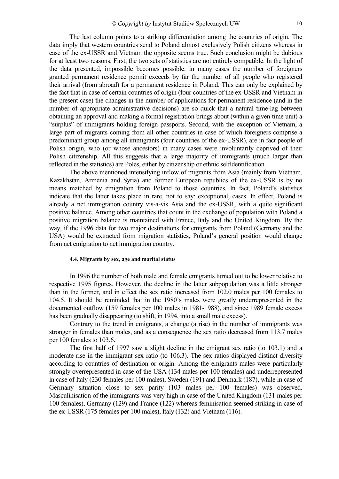<span id="page-9-0"></span>The last column points to a striking differentiation among the countries of origin. The data imply that western countries send to Poland almost exclusively Polish citizens whereas in case of the ex-USSR and Vietnam the opposite seems true. Such conclusion might be dubious for at least two reasons. First, the two sets of statistics are not entirely compatible. In the light of the data presented, impossible becomes possible: in many cases the number of foreigners granted permanent residence permit exceeds by far the number of all people who registered their arrival (from abroad) for a permanent residence in Poland. This can only be explained by the fact that in case of certain countries of origin (four countries of the ex-USSR and Vietnam in the present case) the changes in the number of applications for permanent residence (and in the number of appropriate administrative decisions) are so quick that a natural time-lag between obtaining an approval and making a formal registration brings about (within a given time unit) a ìsurplusî of immigrants holding foreign passports. Second, with the exception of Vietnam, a large part of migrants coming from all other countries in case of which foreigners comprise a predominant group among all immigrants (four countries of the ex-USSR), are in fact people of Polish origin, who (or whose ancestors) in many cases were involuntarily deprived of their Polish citizenship. All this suggests that a large majority of immigrants (much larger than reflected in the statistics) are Poles, either by citizenship or ethnic selfidentification.

The above mentioned intensifying inflow of migrants from Asia (mainly from Vietnam, Kazakhstan, Armenia and Syria) and former European republics of the ex-USSR is by no means matched by emigration from Poland to those countries. In fact, Poland's statistics indicate that the latter takes place in rare, not to say: exceptional, cases. In effect, Poland is already a net immigration country vis-a-vis Asia and the ex-USSR, with a quite significant positive balance. Among other countries that count in the exchange of population with Poland a positive migration balance is maintained with France, Italy and the United Kingdom. By the way, if the 1996 data for two major destinations for emigrants from Poland (Germany and the USA) would be extracted from migration statistics, Poland's general position would change from net emigration to net immigration country.

# **4.4. Migrants by sex, age and marital status**

In 1996 the number of both male and female emigrants turned out to be lower relative to respective 1995 figures. However, the decline in the latter subpopulation was a little stronger than in the former, and in effect the sex ratio increased from 102.0 males per 100 females to 104.5. It should be reminded that in the 1980's males were greatly underrepresented in the documented outflow (159 females per 100 males in 1981-1988), and since 1989 female excess has been gradually disappearing (to shift, in 1994, into a small male excess).

Contrary to the trend in emigrants, a change (a rise) in the number of immigrants was stronger in females than males, and as a consequence the sex ratio decreased from 113.7 males per 100 females to 103.6.

The first half of 1997 saw a slight decline in the emigrant sex ratio (to 103.1) and a moderate rise in the immigrant sex ratio (to 106.3). The sex ratios displayed distinct diversity according to countries of destination or origin. Among the emigrants males were particularly strongly overrepresented in case of the USA (134 males per 100 females) and underrepresented in case of Italy (230 females per 100 males), Sweden (191) and Denmark (187), while in case of Germany situation close to sex parity (103 males per 100 females) was observed. Masculinisation of the immigrants was very high in case of the United Kingdom (131 males per 100 females), Germany (129) and France (122) whereas feminisation seemed striking in case of the ex-USSR (175 females per 100 males), Italy (132) and Vietnam (116).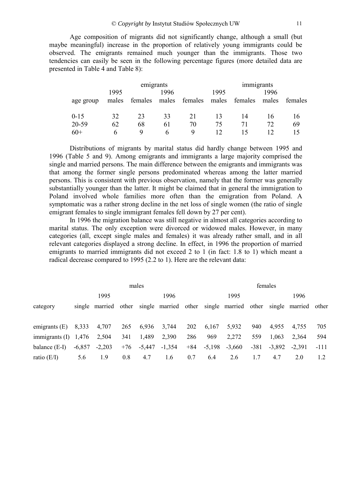## © *Copyright by* Instytut Studiów Społecznych UW 11

Age composition of migrants did not significantly change, although a small (but maybe meaningful) increase in the proportion of relatively young immigrants could be observed. The emigrants remained much younger than the immigrants. Those two tendencies can easily be seen in the following percentage figures (more detailed data are presented in Table 4 and Table 8):

|           | emigrants |         |       |         |       | immigrants |       |         |  |
|-----------|-----------|---------|-------|---------|-------|------------|-------|---------|--|
|           | 1995      | 1996    |       |         |       |            | 1996  |         |  |
| age group | males     | females | males | females | males | females    | males | females |  |
|           |           |         |       |         |       |            |       |         |  |
| $0 - 15$  | 32        | 23      | 33    | 21      |       | 14         | 16    | 16      |  |
| 20-59     | 62        | 68      | 61    | 70      | 75    | 71         |       | 69      |  |
| $60+$     | h         | Q       | h     | Q       |       |            |       |         |  |

Distributions of migrants by marital status did hardly change between 1995 and 1996 (Table 5 and 9). Among emigrants and immigrants a large majority comprised the single and married persons. The main difference between the emigrants and immigrants was that among the former single persons predominated whereas among the latter married persons. This is consistent with previous observation, namely that the former was generally substantially younger than the latter. It might be claimed that in general the immigration to Poland involved whole families more often than the emigration from Poland. A symptomatic was a rather strong decline in the net loss of single women (the ratio of single emigrant females to single immigrant females fell down by 27 per cent).

In 1996 the migration balance was still negative in almost all categories according to marital status. The only exception were divorced or widowed males. However, in many categories (all, except single males and females) it was already rather small, and in all relevant categories displayed a strong decline. In effect, in 1996 the proportion of married emigrants to married immigrants did not exceed 2 to 1 (in fact: 1.8 to 1) which meant a radical decrease compared to 1995 (2.2 to 1). Here are the relevant data:

| males                  |          |       |          |                      |       |          |          |        |          |                                                      |                      |
|------------------------|----------|-------|----------|----------------------|-------|----------|----------|--------|----------|------------------------------------------------------|----------------------|
|                        | 1995     |       |          | 1996                 |       |          | 1995     |        |          | 1996                                                 |                      |
|                        |          |       |          |                      |       |          |          |        |          |                                                      |                      |
|                        |          |       |          |                      |       |          |          |        |          |                                                      |                      |
| 8,333                  | 4,707    | 265   | 6,936    | 3,744                | 202   | 6,167    | 5,932    | 940    | 4,955    | 4,755                                                | 705                  |
| immigrants $(I)$ 1,476 | 2,504    | 341   | 1,489    | 2,390                | 286   | 969      | 2,272    | 559    | 1,063    | 2,364                                                | 594                  |
| $-6,857$               | $-2,203$ | $+76$ | $-5,447$ | $-1,354$             | $+84$ | $-5,198$ | $-3,660$ | $-381$ | $-3,892$ | $-2,391$                                             | $-111$               |
| 5.6                    | 1.9      | 0.8   | 4.7      | 1.6                  | 0.7   | 6.4      | 2.6      | 1.7    | 4.7      | 2.0                                                  | 1.2                  |
|                        |          |       |          | single married other |       |          |          |        |          | females<br>single married other single married other | single married other |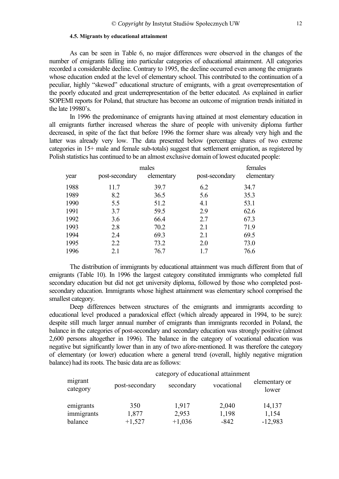### **4.5. Migrants by educational attainment**

<span id="page-11-0"></span>As can be seen in Table 6, no major differences were observed in the changes of the number of emigrants falling into particular categories of educational attainment. All categories recorded a considerable decline. Contrary to 1995, the decline occurred even among the emigrants whose education ended at the level of elementary school. This contributed to the continuation of a peculiar, highly "skewed" educational structure of emigrants, with a great overrepresentation of the poorly educated and great underrepresentation of the better educated. As explained in earlier SOPEMI reports for Poland, that structure has become an outcome of migration trends initiated in the late  $19980$ 's.

In 1996 the predominance of emigrants having attained at most elementary education in all emigrants further increased whereas the share of people with university diploma further decreased, in spite of the fact that before 1996 the former share was already very high and the latter was already very low. The data presented below (percentage shares of two extreme categories in 15+ male and female sub-totals) suggest that settlement emigration, as registered by Polish statistics has continued to be an almost exclusive domain of lowest educated people:

|      | females        |            |                |            |
|------|----------------|------------|----------------|------------|
| year | post-secondary | elementary | post-secondary | elementary |
| 1988 | 11.7           | 39.7       | 6.2            | 34.7       |
| 1989 | 8.2            | 36.5       | 5.6            | 35.3       |
| 1990 | 5.5            | 51.2       | 4.1            | 53.1       |
| 1991 | 3.7            | 59.5       | 2.9            | 62.6       |
| 1992 | 3.6            | 66.4       | 2.7            | 67.3       |
| 1993 | 2.8            | 70.2       | 2.1            | 71.9       |
| 1994 | 2.4            | 69.3       | 2.1            | 69.5       |
| 1995 | 2.2            | 73.2       | 2.0            | 73.0       |
| 1996 | 2.1            | 76.7       | 1.7            | 76.6       |

The distribution of immigrants by educational attainment was much different from that of emigrants (Table 10). In 1996 the largest category constituted immigrants who completed full secondary education but did not get university diploma, followed by those who completed postsecondary education. Immigrants whose highest attainment was elementary school comprised the smallest category.

Deep differences between structures of the emigrants and immigrants according to educational level produced a paradoxical effect (which already appeared in 1994, to be sure): despite still much larger annual number of emigrants than immigrants recorded in Poland, the balance in the categories of post-secondary and secondary education was strongly positive (almost 2,600 persons altogether in 1996). The balance in the category of vocational education was negative but significantly lower than in any of two afore-mentioned. It was therefore the category of elementary (or lower) education where a general trend (overall, highly negative migration balance) had its roots. The basic data are as follows:

|                     | category of educational attainment |           |            |                        |
|---------------------|------------------------------------|-----------|------------|------------------------|
| migrant<br>category | post-secondary                     | secondary | vocational | elementary or<br>lower |
| emigrants           | 350                                | 1,917     | 2,040      | 14,137                 |
| immigrants          | 1,877                              | 2,953     | 1,198      | 1,154                  |
| balance             | $+1,527$                           | $+1,036$  | $-842$     | $-12,983$              |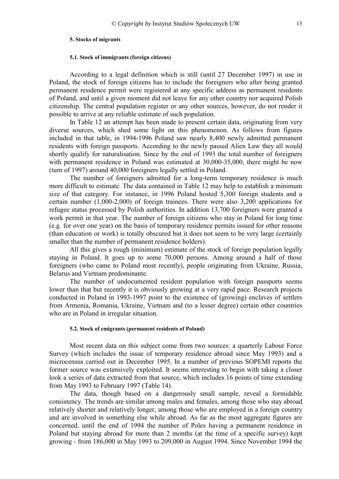#### <span id="page-12-0"></span>**5. Stocks of migrants**

#### **5.1. Stock of immigrants (foreign citizens)**

According to a legal definition which is still (until 27 December 1997) in use in Poland, the stock of foreign citizens has to include the foreigners who after being granted permanent residence permit were registered at any specific address as permanent residents of Poland, and until a given moment did not leave for any other country nor acquired Polish citizenship. The central population register or any other sources, however, do not render it possible to arrive at any reliable estimate of such population.

In Table 12 an attempt has been made to present certain data, originating from very diverse sources, which shed some light on this phenomenon. As follows from figures included in that table, in 1994-1996 Poland saw nearly 8,400 newly admitted permanent residents with foreign passports. According to the newly passed Alien Law they all would shortly qualify for naturalisation. Since by the end of 1993 the total number of foreigners with permanent residence in Poland was estimated at 30,000-35,000, there might be now (turn of 1997) around 40,000 foreigners legally settled in Poland.

The number of foreigners admitted for a long-term temporary residence is much more difficult to estimate. The data contained in Table 12 may help to establish a minimum size of that category. For instance, in 1996 Poland hosted 5,300 foreign students and a certain number (1,000-2,000) of foreign trainees. There were also 3,200 applications for refugee status processed by Polish authorities. In addition 13,700 foreigners were granted a work permit in that year. The number of foreign citizens who stay in Poland for long time (e.g. for over one year) on the basis of temporary residence permits issued for other reasons (than education or work) is totally obscured but it does not seem to be very large (certainly smaller than the number of permanent residence holders).

All this gives a rough (minimum) estimate of the stock of foreign population legally staying in Poland. It goes up to some 70,000 persons. Among around a half of those foreigners (who came to Poland most recently), people originating from Ukraine, Russia, Belarus and Vietnam predominante.

The number of undocumented resident population with foreign passports seems lower than that but recently it is obviously growing at a very rapid pace. Research projects conducted in Poland in 1993-1997 point to the existence of (growing) enclaves of settlers from Armenia, Romania, Ukraine, Vietnam and (to a lesser degree) certain other countries who are in Poland in irregular situation.

## **5.2. Stock of emigrants (permanent residents of Poland)**

Most recent data on this subject come from two sources: a quarterly Labour Force Survey (which includes the issue of temporary residence abroad since May 1993) and a microcensus carried out in December 1995. In a number of previous SOPEMI reports the former source was extensively exploited. It seems interesting to begin with taking a closer look a series of data extracted from that source, which includes 16 points of time extending from May 1993 to February 1997 (Table 14).

The data, though based on a dangerously small sample, reveal a formidable consistency. The trends are similar among males and females, among those who stay abroad relatively shorter and relatively longer, among those who are employed in a foreign country and are involved in something else while abroad. As far as the most aggregate figures are concerned, until the end of 1994 the number of Poles having a permanent residence in Poland but staying abroad for more than 2 months (at the time of a specific survey) kept growing - from 186,000 in May 1993 to 209,000 in August 1994. Since November 1994 the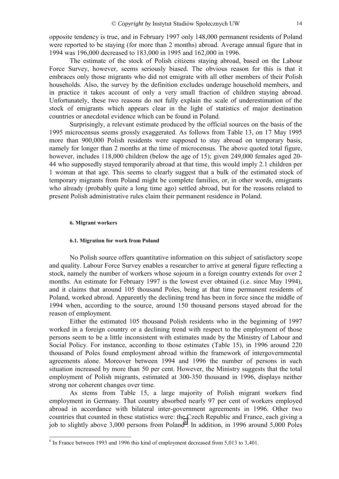<span id="page-13-0"></span>opposite tendency is true, and in February 1997 only 148,000 permanent residents of Poland were reported to be staying (for more than 2 months) abroad. Average annual figure that in 1994 was 196,000 decreased to 183,000 in 1995 and 162,000 in 1996.

The estimate of the stock of Polish citizens staying abroad, based on the Labour Force Survey, however, seems seriously biased. The obvious reason for this is that it embraces only those migrants who did not emigrate with all other members of their Polish households. Also, the survey by the definition excludes underage household members, and in practice it takes account of only a very small fraction of children staying abroad. Unfortunately, these two reasons do not fully explain the scale of underestimation of the stock of emigrants which appears clear in the light of statistics of major destination countries or anecdotal evidence which can be found in Poland.

Surprisingly, a relevant estimate produced by the official sources on the basis of the 1995 microcensus seems grossly exaggerated. As follows from Table 13, on 17 May 1995 more than 900,000 Polish residents were supposed to stay abroad on temporary basis, namely for longer than 2 months at the time of microcensus. The above quoted total figure, however, includes 118,000 children (below the age of 15); given 249,000 females aged 20- 44 who supposedly stayed temporarily abroad at that time, this would imply 2.1 children per 1 woman at that age. This seems to clearly suggest that a bulk of the estimated stock of temporary migrants from Poland might be complete families, or, in other words, emigrants who already (probably quite a long time ago) settled abroad, but for the reasons related to present Polish administrative rules claim their permanent residence in Poland.

#### **6. Migrant workers**

### **6.1. Migration for work from Poland**

No Polish source offers quantitative information on this subject of satisfactory scope and quality. Labour Force Survey enables a researcher to arrive at general figure reflecting a stock, namely the number of workers whose sojourn in a foreign country extends for over 2 months. An estimate for February 1997 is the lowest ever obtained (i.e. since May 1994), and it claims that around 105 thousand Poles, being at that time permanent residents of Poland, worked abroad. Apparently the declining trend has been in force since the middle of 1994 when, according to the source, around 150 thousand persons stayed abroad for the reason of employment.

Either the estimated 105 thousand Polish residents who in the beginning of 1997 worked in a foreign country or a declining trend with respect to the employment of those persons seem to be a little inconsistent with estimates made by the Ministry of Labour and Social Policy. For instance, according to those estimates (Table 15), in 1996 around 220 thousand of Poles found employment abroad within the framework of intergovernmental agreements alone. Moreover between 1994 and 1996 the number of persons in such situation increased by more than 50 per cent. However, the Ministry suggests that the total employment of Polish migrants, estimated at 300-350 thousand in 1996, displays neither strong nor coherent changes over time.

As stems from Table 15, a large majority of Polish migrant workers find employment in Germany. That country absorbed nearly 97 per cent of workers employed abroad in accordance with bilateral inter-government agreements in 1996. Other two countries that counted in these statistics were: the Czech Republic and France, each giving a job to slightly above  $3,000$  persons from Poland<sup>8</sup>. In addition, in 1996 around  $5,000$  Poles

<sup>&</sup>lt;sup>8</sup> In France between 1993 and 1996 this kind of employment decreased from 5,013 to 3,401.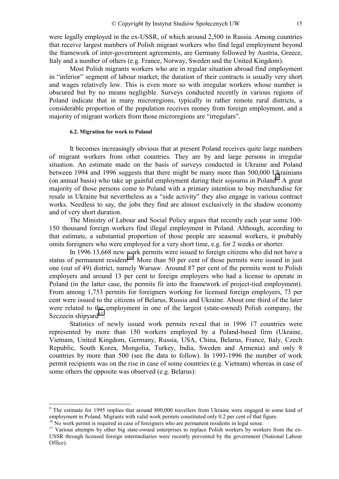<span id="page-14-0"></span>were legally employed in the ex-USSR, of which around 2,500 in Russia. Among countries that receive largest numbers of Polish migrant workers who find legal employment beyond the framework of inter-government agreements, are Germany followed by Austria, Greece, Italy and a number of others (e.g. France, Norway, Sweden and the United Kingdom).

Most Polish migrants workers who are in regular situation abroad find employment in "inferior" segment of labour market; the duration of their contracts is usually very short and wages relatively low. This is even more so with irregular workers whose number is obscured but by no means negligible. Surveys conducted recently in various regions of Poland indicate that in many microregions, typically in rather remote rural districts, a considerable proportion of the population receives money from foreign employment, and a majority of migrant workers from those microregions are "irregulars".

#### **6.2. Migration for work to Poland**

It becomes increasingly obvious that at present Poland receives quite large numbers of migrant workers from other countries. They are by and large persons in irregular situation. An estimate made on the basis of surveys conducted in Ukraine and Poland between 1994 and 1996 suggests that there might be many more than 500,000 Ukrainians (on annual basis) who take up gainful employment during their sojourns in Poland<sup>9</sup>. A great majority of those persons come to Poland with a primary intention to buy merchandise for resale in Ukraine but nevertheless as a "side activity" they also engage in various contract works. Needless to say, the jobs they find are almost exclusively in the shadow economy and of very short duration.

The Ministry of Labour and Social Policy argues that recently each year some 100- 150 thousand foreign workers find illegal employment in Poland. Although, according to that estimate, a substantial proportion of those people are seasonal workers, it probably omits foreigners who were employed for a very short time, e.g. for 2 weeks or shorter.

In 1996 13,668 new work permits were issued to foreign citizens who did not have a status of permanent resident<sup>10</sup>. More than 50 per cent of those permits were issued in just one (out of 49) district, namely Warsaw. Around 87 per cent of the permits went to Polish employers and around 13 per cent to foreign employers who had a license to operate in Poland (in the latter case, the permits fit into the framework of project-tied employment). From among 1,753 permits for foreigners working for licensed foreign employers, 73 per cent were issued to the citizens of Belarus, Russia and Ukraine. About one third of the later were related to the employment in one of the largest (state-owned) Polish company, the Szczecin shipyard $11$ .

Statistics of newly issued work permits reveal that in 1996 17 countries were represented by more than 150 workers employed by a Poland-based firm (Ukraine, Vietnam, United Kingdom, Germany, Russia, USA, China, Belarus, France, Italy, Czech Republic, South Korea, Mongolia, Turkey, India, Sweden and Armenia) and only 8 countries by more than 500 (see the data to follow). In 1993-1996 the number of work permit recipients was on the rise in case of some countries (e.g. Vietnam) whereas in case of some others the opposite was observed (e.g. Belarus):

<sup>&</sup>lt;sup>9</sup> The estimate for 1995 implies that around 800,000 travellers from Ukraine were engaged in some kind of employment in Poland. Migrants with valid work permits constituted only 0.2 per cent of that figure.

<sup>&</sup>lt;sup>10</sup> No work permit is required in case of foreigners who are permanent residents in legal sense.

<sup>&</sup>lt;sup>11</sup> Various attempts by other big state-owned enterprises to replace Polish workers by workers from the ex-USSR through licensed foreign intermediaries were recently prevented by the government (National Labour Office).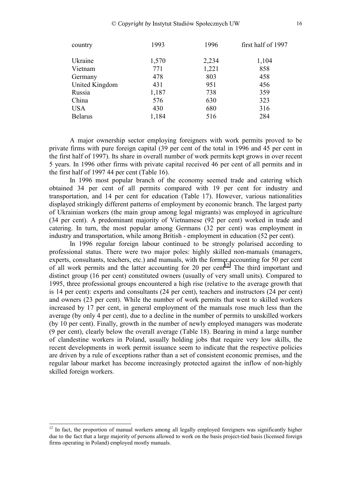| 1993  | 1996  | first half of 1997 |
|-------|-------|--------------------|
| 1,570 | 2,234 | 1,104              |
| 771   | 1,221 | 858                |
| 478   | 803   | 458                |
| 431   | 951   | 456                |
| 1,187 | 738   | 359                |
| 576   | 630   | 323                |
| 430   | 680   | 316                |
| 1,184 | 516   | 284                |
|       |       |                    |

A major ownership sector employing foreigners with work permits proved to be private firms with pure foreign capital (39 per cent of the total in 1996 and 45 per cent in the first half of 1997). Its share in overall number of work permits kept grows in over recent 5 years. In 1996 other firms with private capital received 46 per cent of all permits and in the first half of 1997 44 per cent (Table 16).

In 1996 most popular branch of the economy seemed trade and catering which obtained 34 per cent of all permits compared with 19 per cent for industry and transportation, and 14 per cent for education (Table 17). However, various nationalities displayed strikingly different patterns of employment by economic branch. The largest party of Ukrainian workers (the main group among legal migrants) was employed in agriculture (34 per cent). A predominant majority of Vietnamese (92 per cent) worked in trade and catering. In turn, the most popular among Germans (32 per cent) was employment in industry and transportation, while among British - employment in education (52 per cent).

In 1996 regular foreign labour continued to be strongly polarised according to professional status. There were two major poles: highly skilled non-manuals (managers, experts, consultants, teachers, etc.) and manuals, with the former accounting for 50 per cent of all work permits and the latter accounting for 20 per cent<sup>12</sup>. The third important and distinct group (16 per cent) constituted owners (usually of very small units). Compared to 1995, three professional groups encountered a high rise (relative to the average growth that is 14 per cent): experts and consultants (24 per cent), teachers and instructors (24 per cent) and owners (23 per cent). While the number of work permits that went to skilled workers increased by 17 per cent, in general employment of the manuals rose much less than the average (by only 4 per cent), due to a decline in the number of permits to unskilled workers (by 10 per cent). Finally, growth in the number of newly employed managers was moderate (9 per cent), clearly below the overall average (Table 18). Bearing in mind a large number of clandestine workers in Poland, usually holding jobs that require very low skills, the recent developments in work permit issuance seem to indicate that the respective policies are driven by a rule of exceptions rather than a set of consistent economic premises, and the regular labour market has become increasingly protected against the inflow of non-highly skilled foreign workers.

<sup>&</sup>lt;sup>12</sup> In fact, the proportion of manual workers among all legally employed foreigners was significantly higher due to the fact that a large majority of persons allowed to work on the basis project-tied basis (licensed foreign firms operating in Poland) employed mostly manuals.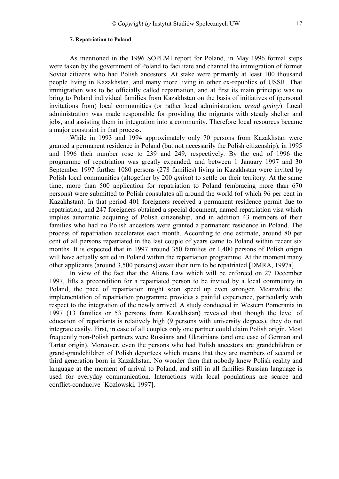#### **7. Repatriation to Poland**

<span id="page-16-0"></span>As mentioned in the 1996 SOPEMI report for Poland, in May 1996 formal steps were taken by the government of Poland to facilitate and channel the immigration of former Soviet citizens who had Polish ancestors. At stake were primarily at least 100 thousand people living in Kazakhstan, and many more living in other ex-republics of USSR. That immigration was to be officially called repatriation, and at first its main principle was to bring to Poland individual families from Kazakhstan on the basis of initiatives of (personal invitations from) local communities (or rather local administration, *urzad gminy*). Local administration was made responsible for providing the migrants with steady shelter and jobs, and assisting them in integration into a community. Therefore local resources became a major constraint in that process.

While in 1993 and 1994 approximately only 70 persons from Kazakhstan were granted a permanent residence in Poland (but not necessarily the Polish citizenship), in 1995 and 1996 their number rose to 239 and 249, respectively. By the end of 1996 the programme of repatriation was greatly expanded, and between 1 January 1997 and 30 September 1997 further 1080 persons (278 families) living in Kazakhstan were invited by Polish local communities (altogether by 200 *gmina*) to settle on their territory. At the same time, more than 500 application for repatriation to Poland (embracing more than 670 persons) were submitted to Polish consulates all around the world (of which 96 per cent in Kazakhstan). In that period 401 foreigners received a permanent residence permit due to repatriation, and 247 foreigners obtained a special document, named repatriation visa which implies automatic acquiring of Polish citizenship, and in addition 43 members of their families who had no Polish ancestors were granted a permanent residence in Poland. The process of repatriation accelerates each month. According to one estimate, around 80 per cent of all persons repatriated in the last couple of years came to Poland within recent six months. It is expected that in 1997 around 350 families or 1,400 persons of Polish origin will have actually settled in Poland within the repatriation programme. At the moment many other applicants (around 3,500 persons) await their turn to be repatriated [DMRA, 1997a].

In view of the fact that the Aliens Law which will be enforced on 27 December 1997, lifts a precondition for a repatriated person to be invited by a local community in Poland, the pace of repatriation might soon speed up even stronger. Meanwhile the implementation of repatriation programme provides a painful experience, particularly with respect to the integration of the newly arrived. A study conducted in Western Pomerania in 1997 (13 families or 53 persons from Kazakhstan) revealed that though the level of education of repatriants is relatively high (9 persons with university degrees), they do not integrate easily. First, in case of all couples only one partner could claim Polish origin. Most frequently non-Polish partners were Russians and Ukrainians (and one case of German and Tartar origin). Moreover, even the persons who had Polish ancestors are grandchildren or grand-grandchildren of Polish deportees which means that they are members of second or third generation born in Kazakhstan. No wonder then that nobody knew Polish reality and language at the moment of arrival to Poland, and still in all families Russian language is used for everyday communication. Interactions with local populations are scarce and conflict-conducive [Kozlowski, 1997].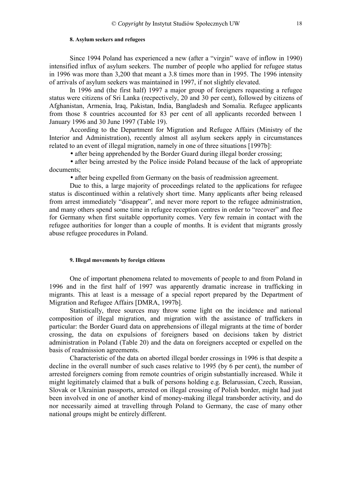#### **8. Asylum seekers and refugees**

<span id="page-17-0"></span>Since 1994 Poland has experienced a new (after a "virgin" wave of inflow in 1990) intensified influx of asylum seekers. The number of people who applied for refugee status in 1996 was more than 3,200 that meant a 3.8 times more than in 1995. The 1996 intensity of arrivals of asylum seekers was maintained in 1997, if not slightly elevated.

In 1996 and (the first half) 1997 a major group of foreigners requesting a refugee status were citizens of Sri Lanka (recpectively, 20 and 30 per cent), followed by citizens of Afghanistan, Armenia, Iraq, Pakistan, India, Bangladesh and Somalia. Refugee applicants from those 8 countries accounted for 83 per cent of all applicants recorded between 1 January 1996 and 30 June 1997 (Table 19).

According to the Department for Migration and Refugee Affairs (Ministry of the Interior and Administration), recently almost all asylum seekers apply in circumstances related to an event of illegal migration, namely in one of three situations [1997b]:

• after being apprehended by the Border Guard during illegal border crossing;

• after being arrested by the Police inside Poland because of the lack of appropriate documents;

• after being expelled from Germany on the basis of readmission agreement.

Due to this, a large majority of proceedings related to the applications for refugee status is discontinued within a relatively short time. Many applicants after being released from arrest immediately "disappear", and never more report to the refugee administration, and many others spend some time in refugee reception centres in order to "recover" and flee for Germany when first suitable opportunity comes. Very few remain in contact with the refugee authorities for longer than a couple of months. It is evident that migrants grossly abuse refugee procedures in Poland.

### **9. Illegal movements by foreign citizens**

One of important phenomena related to movements of people to and from Poland in 1996 and in the first half of 1997 was apparently dramatic increase in trafficking in migrants. This at least is a message of a special report prepared by the Department of Migration and Refugee Affairs [DMRA, 1997b].

Statistically, three sources may throw some light on the incidence and national composition of illegal migration, and migration with the assistance of traffickers in particular: the Border Guard data on apprehensions of illegal migrants at the time of border crossing, the data on expulsions of foreigners based on decisions taken by district administration in Poland (Table 20) and the data on foreigners accepted or expelled on the basis of readmission agreements.

Characteristic of the data on aborted illegal border crossings in 1996 is that despite a decline in the overall number of such cases relative to 1995 (by 6 per cent), the number of arrested foreigners coming from remote countries of origin substantially increased. While it might legitimately claimed that a bulk of persons holding e.g. Belarussian, Czech, Russian, Slovak or Ukrainian passports, arrested on illegal crossing of Polish border, might had just been involved in one of another kind of money-making illegal transborder activity, and do nor necessarily aimed at travelling through Poland to Germany, the case of many other national groups might be entirely different.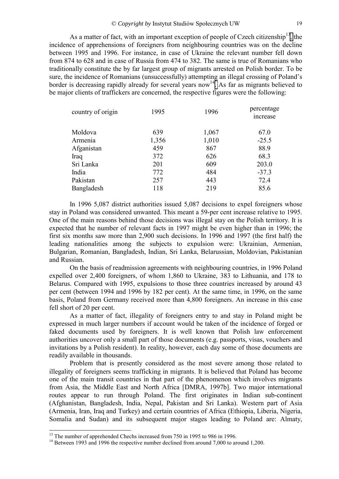As a matter of fact, with an important exception of people of Czech citizenship<sup>13</sup>, the incidence of apprehensions of foreigners from neighbouring countries was on the decline between 1995 and 1996. For instance, in case of Ukraine the relevant number fell down from 874 to 628 and in case of Russia from 474 to 382. The same is true of Romanians who traditionally constitute the by far largest group of migrants arrested on Polish border. To be sure, the incidence of Romanians (unsuccessfully) attempting an illegal crossing of Poland's border is decreasing rapidly already for several years now<sup>14</sup>. As far as migrants believed to be major clients of traffickers are concerned, the respective figures were the following:

| country of origin | 1995  | 1996  | percentage<br><i>ncrease</i> |
|-------------------|-------|-------|------------------------------|
| Moldova           | 639   | 1,067 | 67.0                         |
| Armenia           | 1,356 | 1,010 | $-25.5$                      |
| Afganistan        | 459   | 867   | 88.9                         |
| Iraq              | 372   | 626   | 68.3                         |
| Sri Lanka         | 201   | 609   | 203.0                        |
| India             | 772   | 484   | $-37.3$                      |
| Pakistan          | 257   | 443   | 72.4                         |
| Bangladesh        | 118   | 219   | 85.6                         |

In 1996 5,087 district authorities issued 5,087 decisions to expel foreigners whose stay in Poland was considered unwanted. This meant a 59-per cent increase relative to 1995. One of the main reasons behind those decisions was illegal stay on the Polish territory. It is expected that he number of relevant facts in 1997 might be even higher than in 1996; the first six months saw more than 2,900 such decisions. In 1996 and 1997 (the first half) the leading nationalities among the subjects to expulsion were: Ukrainian, Armenian, Bulgarian, Romanian, Bangladesh, Indian, Sri Lanka, Belarussian, Moldovian, Pakistanian and Russian.

On the basis of readmission agreements with neighbouring countries, in 1996 Poland expelled over 2,400 foreigners, of whom 1,860 to Ukraine, 383 to Lithuania, and 178 to Belarus. Compared with 1995, expulsions to those three countries increased by around 43 per cent (between 1994 and 1996 by 182 per cent). At the same time, in 1996, on the same basis, Poland from Germany received more than 4,800 foreigners. An increase in this case fell short of 20 per cent.

As a matter of fact, illegality of foreigners entry to and stay in Poland might be expressed in much larger numbers if account would be taken of the incidence of forged or faked documents used by foreigners. It is well known that Polish law enforcement authorities uncover only a small part of those documents (e.g. passports, visas, vouchers and invitations by a Polish resident). In reality, however, each day some of those documents are readily available in thousands.

Problem that is presently considered as the most severe among those related to illegality of foreigners seems trafficking in migrants. It is believed that Poland has become one of the main transit countries in that part of the phenomenon which involves migrants from Asia, the Middle East and North Africa [DMRA, 1997b]. Two major international routes appear to run through Poland. The first originates in Indian sub-continent (Afghanistan, Bangladesh, India, Nepal, Pakistan and Sri Lanka). Western part of Asia (Armenia, Iran, Iraq and Turkey) and certain countries of Africa (Ethiopia, Liberia, Nigeria, Somalia and Sudan) and its subsequent major stages leading to Poland are: Almaty,

<sup>&</sup>lt;sup>13</sup> The number of apprehended Chechs increased from 750 in 1995 to 986 in 1996.<br><sup>14</sup> Petusen 1993 and 1996 the respective number declined from around 7,000 to an

 $14$  Between 1993 and 1996 the respective number declined from around 7,000 to around 1,200.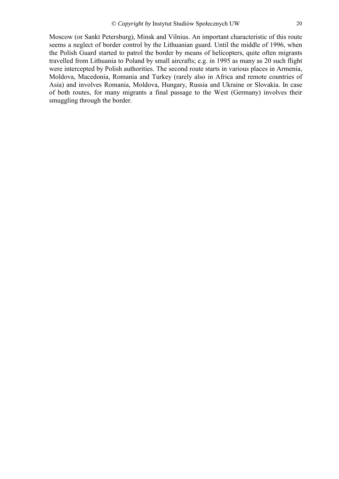Moscow (or Sankt Petersburg), Minsk and Vilnius. An important characteristic of this route seems a neglect of border control by the Lithuanian guard. Until the middle of 1996, when the Polish Guard started to patrol the border by means of helicopters, quite often migrants travelled from Lithuania to Poland by small aircrafts; e.g. in 1995 as many as 20 such flight were intercepted by Polish authorities. The second route starts in various places in Armenia, Moldova, Macedonia, Romania and Turkey (rarely also in Africa and remote countries of Asia) and involves Romania, Moldova, Hungary, Russia and Ukraine or Slovakia. In case of both routes, for many migrants a final passage to the West (Germany) involves their smuggling through the border.